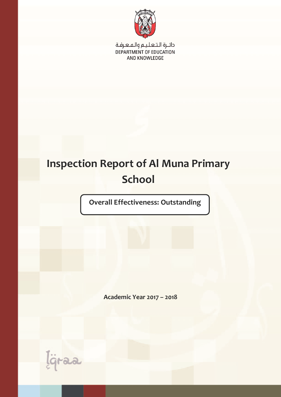

دائــرة الـتـعـلـيـم والـمـعـرفـة DEPARTMENT OF EDUCATION AND KNOWLEDGE

# **Inspection Report of Al Muna Primary School**

**Overall Effectiveness: Outstanding**

**Academic Year 2017 – 2018**

Igraa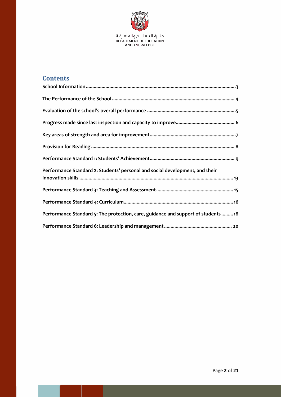

## **Contents**

| Performance Standard 2: Students' personal and social development, and their     |
|----------------------------------------------------------------------------------|
|                                                                                  |
|                                                                                  |
| Performance Standard 5: The protection, care, guidance and support of students18 |
|                                                                                  |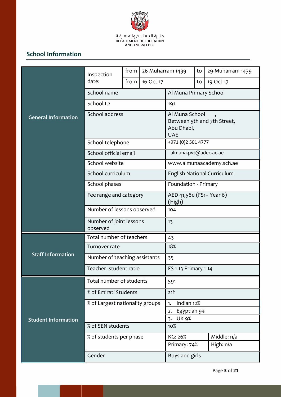

# **School Information**

|                            | Inspection                          | from                            | 26 Muharram 1439                                                          |                                                       | to | 29-Muharram 1439            |
|----------------------------|-------------------------------------|---------------------------------|---------------------------------------------------------------------------|-------------------------------------------------------|----|-----------------------------|
|                            | date:                               | from                            | 16-Oct-17                                                                 |                                                       | to | 19-Oct-17                   |
|                            | School name                         |                                 | Al Muna Primary School                                                    |                                                       |    |                             |
|                            | School ID                           |                                 |                                                                           | 191                                                   |    |                             |
| <b>General Information</b> | School address                      |                                 | Al Muna School<br>Between 5th and 7th Street,<br>Abu Dhabi,<br><b>UAE</b> |                                                       |    |                             |
|                            | School telephone                    |                                 |                                                                           | +971 (0)2 501 4777                                    |    |                             |
|                            | School official email               |                                 |                                                                           | almuna.pvt@adec.ac.ae                                 |    |                             |
|                            | School website                      |                                 |                                                                           |                                                       |    | www.almunaacademy.sch.ae    |
|                            | School curriculum                   |                                 |                                                                           |                                                       |    | English National Curriculum |
|                            | School phases                       |                                 |                                                                           | Foundation - Primary                                  |    |                             |
|                            | Fee range and category              |                                 | AED 41,580 (FS1- Year 6)<br>(High)                                        |                                                       |    |                             |
|                            | Number of lessons observed          |                                 | 104                                                                       |                                                       |    |                             |
|                            | Number of joint lessons<br>observed |                                 |                                                                           | 13                                                    |    |                             |
|                            | Total number of teachers            |                                 |                                                                           | 43                                                    |    |                             |
|                            | Turnover rate                       |                                 |                                                                           | 18%                                                   |    |                             |
| <b>Staff Information</b>   |                                     | Number of teaching assistants   |                                                                           | 35                                                    |    |                             |
|                            | Teacher-student ratio               |                                 | FS 1-13 Primary 1-14                                                      |                                                       |    |                             |
|                            | Total number of students            |                                 |                                                                           | 591                                                   |    |                             |
|                            | % of Emirati Students               |                                 |                                                                           | 21%                                                   |    |                             |
|                            |                                     | % of Largest nationality groups |                                                                           | Indian 12%<br>1.                                      |    |                             |
| <b>Student Information</b> |                                     |                                 |                                                                           | Egyptian 9%<br>2.<br><b>UK 9%</b><br>$\overline{3}$ . |    |                             |
|                            | % of SEN students                   |                                 | 10%                                                                       |                                                       |    |                             |
|                            | % of students per phase             |                                 |                                                                           | KG: 26%                                               |    | Middle: n/a                 |
|                            |                                     |                                 |                                                                           | High: n/a<br>Primary: 74%                             |    |                             |
|                            | Gender                              |                                 | Boys and girls                                                            |                                                       |    |                             |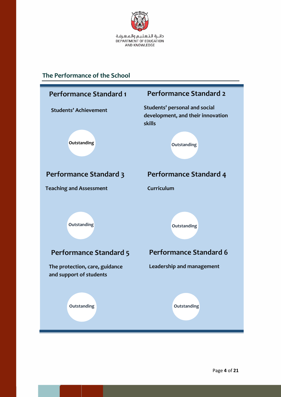

## <span id="page-3-0"></span>**The Performance of the School**

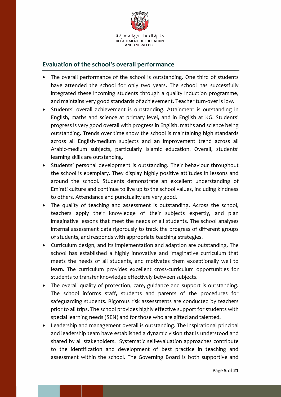

#### <span id="page-4-0"></span>**Evaluation of the school's overall performance**

- The overall performance of the school is outstanding. One third of students have attended the school for only two years. The school has successfully integrated these incoming students through a quality induction programme, and maintains very good standards of achievement. Teacher turn-over is low.
- Students' overall achievement is outstanding. Attainment is outstanding in English, maths and science at primary level, and in English at KG. Students' progress is very good overall with progress in English, maths and science being outstanding. Trends over time show the school is maintaining high standards across all English-medium subjects and an improvement trend across all Arabic-medium subjects, particularly Islamic education. Overall, students' learning skills are outstanding.
- Students' personal development is outstanding. Their behaviour throughout the school is exemplary. They display highly positive attitudes in lessons and around the school. Students demonstrate an excellent understanding of Emirati culture and continue to live up to the school values, including kindness to others. Attendance and punctuality are very good.
- The quality of teaching and assessment is outstanding. Across the school, teachers apply their knowledge of their subjects expertly, and plan imaginative lessons that meet the needs of all students. The school analyses internal assessment data rigorously to track the progress of different groups of students, and responds with appropriate teaching strategies.
- Curriculum design, and its implementation and adaption are outstanding. The school has established a highly innovative and imaginative curriculum that meets the needs of all students, and motivates them exceptionally well to learn. The curriculum provides excellent cross-curriculum opportunities for students to transfer knowledge effectively between subjects.
- The overall quality of protection, care, guidance and support is outstanding. The school informs staff, students and parents of the procedures for safeguarding students. Rigorous risk assessments are conducted by teachers prior to all trips. The school provides highly effective support for students with special learning needs (SEN) and for those who are gifted and talented.
- Leadership and management overall is outstanding. The inspirational principal and leadership team have established a dynamic vision that is understood and shared by all stakeholders. Systematic self-evaluation approaches contribute to the identification and development of best practice in teaching and assessment within the school. The Governing Board is both supportive and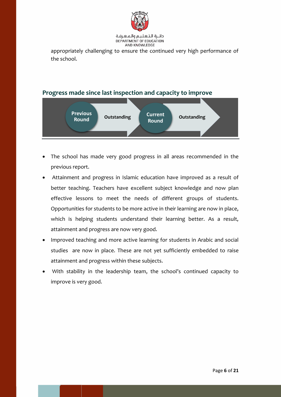

دائية التعليم والمعرفة DEPARTMENT OF EDUCATION AND KNOWLEDGE

appropriately challenging to ensure the continued very high performance of the school.

#### <span id="page-5-0"></span>**Progress made since last inspection and capacity to improve**



- The school has made very good progress in all areas recommended in the previous report.
- Attainment and progress in Islamic education have improved as a result of better teaching. Teachers have excellent subject knowledge and now plan effective lessons to meet the needs of different groups of students. Opportunities for students to be more active in their learning are now in place, which is helping students understand their learning better. As a result, attainment and progress are now very good.
- Improved teaching and more active learning for students in Arabic and social studies are now in place. These are not yet sufficiently embedded to raise attainment and progress within these subjects.
- With stability in the leadership team, the school's continued capacity to improve is very good.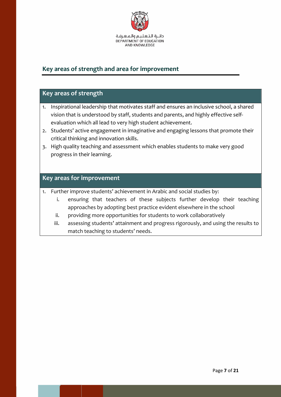

## <span id="page-6-0"></span>**Key areas of strength and area for improvement**

#### **Key areas of strength**

- 1. Inspirational leadership that motivates staff and ensures an inclusive school, a shared vision that is understood by staff, students and parents, and highly effective selfevaluation which all lead to very high student achievement.
- 2. Students' active engagement in imaginative and engaging lessons that promote their critical thinking and innovation skills.
- 3. High quality teaching and assessment which enables students to make very good progress in their learning.

#### **Key areas for improvement**

1. Further improve students' achievement in Arabic and social studies by:

- i. ensuring that teachers of these subjects further develop their teaching approaches by adopting best practice evident elsewhere in the school
- ii. providing more opportunities for students to work collaboratively
- iii. assessing students' attainment and progress rigorously, and using the results to match teaching to students' needs.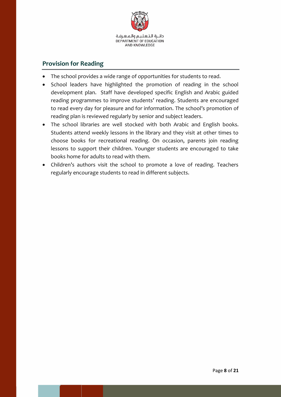

### <span id="page-7-0"></span>**Provision for Reading**

- The school provides a wide range of opportunities for students to read.
- School leaders have highlighted the promotion of reading in the school development plan. Staff have developed specific English and Arabic guided reading programmes to improve students' reading. Students are encouraged to read every day for pleasure and for information. The school's promotion of reading plan is reviewed regularly by senior and subject leaders.
- The school libraries are well stocked with both Arabic and English books. Students attend weekly lessons in the library and they visit at other times to choose books for recreational reading. On occasion, parents join reading lessons to support their children. Younger students are encouraged to take books home for adults to read with them.
- Children's authors visit the school to promote a love of reading. Teachers regularly encourage students to read in different subjects.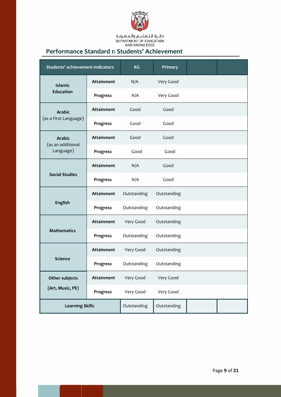

دائــرة الـتـعـلـيـم والـهـعـرفـة<br>DEPARTMENT OF EDUCATION<br>AND KNOWLEDGE

## <span id="page-8-0"></span>**Performance Standard 1: Students' Achievement**

| <b>Students' achievement Indicators</b> |                   | <b>KG</b>   | Primary     |  |
|-----------------------------------------|-------------------|-------------|-------------|--|
| <b>Islamic</b>                          | <b>Attainment</b> | N/A         | Very Good   |  |
| <b>Education</b>                        | Progress          | N/A         | Very Good   |  |
| <b>Arabic</b>                           | <b>Attainment</b> | Good        | Good        |  |
| (as a First Language)                   | Progress          | Good        | Good        |  |
| <b>Arabic</b>                           | <b>Attainment</b> | Good        | Good        |  |
| (as an additional<br>Language)          | Progress          | Good        | Good        |  |
| <b>Social Studies</b>                   | <b>Attainment</b> | N/A         | Good        |  |
|                                         | Progress          | N/A         | Good        |  |
| <b>English</b>                          | <b>Attainment</b> | Outstanding | Outstanding |  |
|                                         | Progress          | Outstanding | Outstanding |  |
|                                         | <b>Attainment</b> | Very Good   | Outstanding |  |
| <b>Mathematics</b>                      | Progress          | Outstanding | Outstanding |  |
|                                         | <b>Attainment</b> | Very Good   | Outstanding |  |
| <b>Science</b>                          | Progress          | Outstanding | Outstanding |  |
| Other subjects                          | Attainment        | Very Good   | Very Good   |  |
| (Art, Music, PE)                        | Progress          | Very Good   | Very Good   |  |
| <b>Learning Skills</b>                  |                   | Outstanding | Outstanding |  |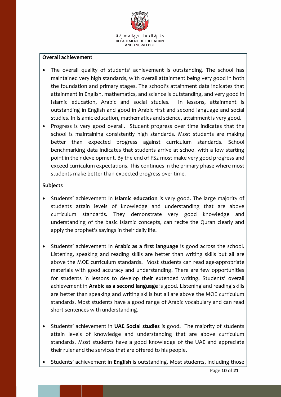

#### **Overall achievement**

- The overall quality of students' achievement is outstanding. The school has maintained very high standards, with overall attainment being very good in both the foundation and primary stages. The school's attainment data indicates that attainment in English, mathematics, and science is outstanding, and very good in Islamic education, Arabic and social studies. In lessons, attainment is outstanding in English and good in Arabic first and second language and social studies. In Islamic education, mathematics and science, attainment is very good.
- Progress is very good overall. Student progress over time indicates that the school is maintaining consistently high standards. Most students are making better than expected progress against curriculum standards. School benchmarking data indicates that students arrive at school with a low starting point in their development. By the end of FS2 most make very good progress and exceed curriculum expectations. This continues in the primary phase where most students make better than expected progress over time.

#### **Subjects**

- Students' achievement in **Islamic education** is very good. The large majority of students attain levels of knowledge and understanding that are above curriculum standards. They demonstrate very good knowledge and understanding of the basic Islamic concepts, can recite the Quran clearly and apply the prophet's sayings in their daily life.
- Students' achievement in **Arabic as a first language** is good across the school. Listening, speaking and reading skills are better than writing skills but all are above the MOE curriculum standards. Most students can read age-appropriate materials with good accuracy and understanding. There are few opportunities for students in lessons to develop their extended writing. Students' overall achievement in **Arabic as a second language** is good. Listening and reading skills are better than speaking and writing skills but all are above the MOE curriculum standards. Most students have a good range of Arabic vocabulary and can read short sentences with understanding.
- Students' achievement in **UAE Social studies** is good. The majority of students attain levels of knowledge and understanding that are above curriculum standards. Most students have a good knowledge of the UAE and appreciate their ruler and the services that are offered to his people.
- Students' achievement in **English** is outstanding. Most students, including those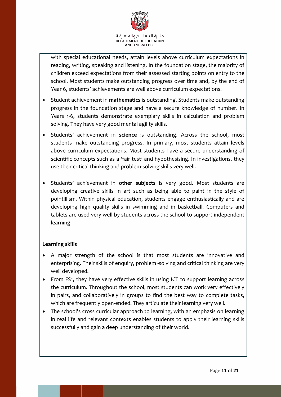

with special educational needs, attain levels above curriculum expectations in reading, writing, speaking and listening. In the foundation stage, the majority of children exceed expectations from their assessed starting points on entry to the school. Most students make outstanding progress over time and, by the end of Year 6, students' achievements are well above curriculum expectations.

- Student achievement in **mathematics** is outstanding. Students make outstanding progress in the foundation stage and have a secure knowledge of number. In Years 1-6, students demonstrate exemplary skills in calculation and problem solving. They have very good mental agility skills.
- Students' achievement in **science** is outstanding. Across the school, most students make outstanding progress. In primary, most students attain levels above curriculum expectations. Most students have a secure understanding of scientific concepts such as a 'fair test' and hypothesising. In investigations, they use their critical thinking and problem**-**solving skills very well.
- Students' achievement in other subjects is very good. Most students are developing creative skills in art such as being able to paint in the style of pointillism. Within physical education, students engage enthusiastically and are developing high quality skills in swimming and in basketball. Computers and tablets are used very well by students across the school to support independent learning.

#### **Learning skills**

- A major strength of the school is that most students are innovative and enterprising. Their skills of enquiry, problem -solving and critical thinking are very well developed.
- From FS1, they have very effective skills in using ICT to support learning across the curriculum. Throughout the school, most students can work very effectively in pairs, and collaboratively in groups to find the best way to complete tasks, which are frequently open-ended. They articulate their learning very well.
- The school's cross curricular approach to learning, with an emphasis on learning in real life and relevant contexts enables students to apply their learning skills successfully and gain a deep understanding of their world.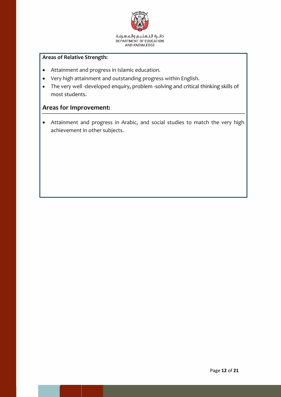

#### **Areas of Relative Strength:**

- Attainment and progress in Islamic education.
- Very high attainment and outstanding progress within English.
- The very well -developed enquiry, problem -solving and critical thinking skills of most students.

#### **Areas for Improvement:**

 Attainment and progress in Arabic, and social studies to match the very high achievement in other subjects.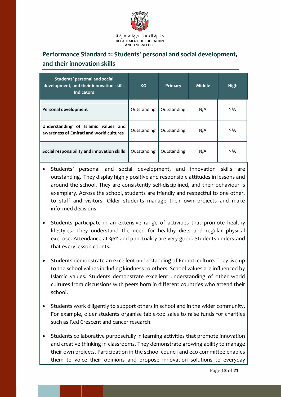

# <span id="page-12-0"></span>**Performance Standard 2: Students' personal and social development, and their innovation skills**

| Students' personal and social<br>development, and their innovation skills<br><b>Indicators</b> | KG          | Primary     | <b>Middle</b> | High |
|------------------------------------------------------------------------------------------------|-------------|-------------|---------------|------|
| Personal development                                                                           | Outstanding | Outstanding | N/A           | N/A  |
| Understanding of Islamic values and<br>awareness of Emirati and world cultures                 | Outstanding | Outstanding | N/A           | N/A  |
| Social responsibility and innovation skills                                                    | Outstanding | Outstanding | N/A           | N/A  |

- Students' personal and social development, and innovation skills are outstanding. They display highly positive and responsible attitudes in lessons and around the school. They are consistently self-disciplined, and their behaviour is exemplary. Across the school, students are friendly and respectful to one other, to staff and visitors. Older students manage their own projects and make informed decisions.
- Students participate in an extensive range of activities that promote healthy lifestyles. They understand the need for healthy diets and regular physical exercise. Attendance at 96% and punctuality are very good. Students understand that every lesson counts.
- Students demonstrate an excellent understanding of Emirati culture. They live up to the school values including kindness to others. School values are influenced by Islamic values. Students demonstrate excellent understanding of other world cultures from discussions with peers born in different countries who attend their school.
- Students work diligently to support others in school and in the wider community. For example, older students organise table-top sales to raise funds for charities such as Red Crescent and cancer research.
- Students collaborative purposefully in learning activities that promote innovation and creative thinking in classrooms. They demonstrate growing ability to manage their own projects. Participation in the school council and eco committee enables them to voice their opinions and propose innovation solutions to everyday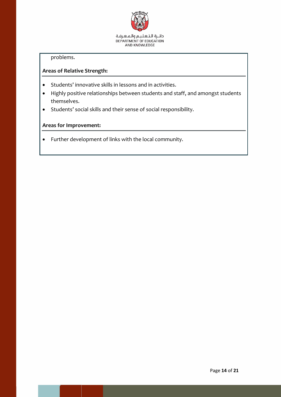

problems.

#### **Areas of Relative Strength:**

- Students' innovative skills in lessons and in activities.
- Highly positive relationships between students and staff, and amongst students themselves.
- Students' social skills and their sense of social responsibility.

#### **Areas for Improvement:**

Further development of links with the local community.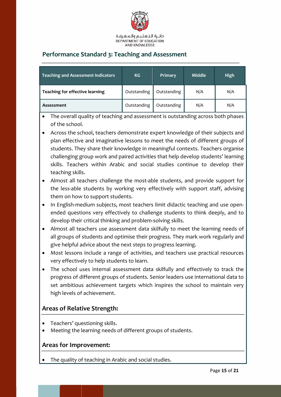

## <span id="page-14-0"></span>**Performance Standard 3: Teaching and Assessment**

| <b>Teaching and Assessment Indicators</b> | KG          | Primary     | <b>Middle</b> | <b>High</b> |
|-------------------------------------------|-------------|-------------|---------------|-------------|
| Teaching for effective learning           | Outstanding | Outstanding | N/A           | N/A         |
| Assessment                                | Outstanding | Outstanding | N/A           | N/A         |

 The overall quality of teaching and assessment is outstanding across both phases of the school.

 Across the school, teachers demonstrate expert knowledge of their subjects and plan effective and imaginative lessons to meet the needs of different groups of students. They share their knowledge in meaningful contexts. Teachers organise challenging group work and paired activities that help develop students' learning skills. Teachers within Arabic and social studies continue to develop their teaching skills.

 Almost all teachers challenge the most-able students, and provide support for the less-able students by working very effectively with support staff, advising them on how to support students.

- In English-medium subjects, most teachers limit didactic teaching and use openended questions very effectively to challenge students to think deeply, and to develop their critical thinking and problem-solving skills.
- Almost all teachers use assessment data skilfully to meet the learning needs of all groups of students and optimise their progress. They mark work regularly and give helpful advice about the next steps to progress learning.
- Most lessons include a range of activities, and teachers use practical resources very effectively to help students to learn.
- The school uses internal assessment data skilfully and effectively to track the progress of different groups of students. Senior leaders use international data to set ambitious achievement targets which inspires the school to maintain very high levels of achievement.

#### **Areas of Relative Strength:**

- Teachers' questioning skills.
- Meeting the learning needs of different groups of students.

#### **Areas for Improvement:**

The quality of teaching in Arabic and social studies.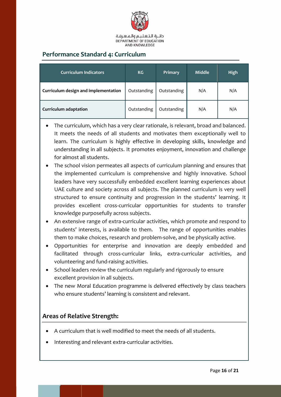

## <span id="page-15-0"></span>**Performance Standard 4: Curriculum**

| <b>Curriculum Indicators</b>         | KG          | Primary     | <b>Middle</b> | <b>High</b> |
|--------------------------------------|-------------|-------------|---------------|-------------|
| Curriculum design and implementation | Outstanding | Outstanding | N/A           | N/A         |
| <b>Curriculum adaptation</b>         | Outstanding | Outstanding | N/A           | N/A         |

- The curriculum, which has a very clear rationale, is relevant, broad and balanced. It meets the needs of all students and motivates them exceptionally well to learn. The curriculum is highly effective in developing skills, knowledge and understanding in all subjects. It promotes enjoyment, innovation and challenge for almost all students.
- The school vision permeates all aspects of curriculum planning and ensures that the implemented curriculum is comprehensive and highly innovative. School leaders have very successfully embedded excellent learning experiences about UAE culture and society across all subjects. The planned curriculum is very well structured to ensure continuity and progression in the students' learning. It provides excellent cross-curricular opportunities for students to transfer knowledge purposefully across subjects.
- An extensive range of extra-curricular activities, which promote and respond to students' interests, is available to them. The range of opportunities enables them to make choices, research and problem-solve, and be physically active.
- Opportunities for enterprise and innovation are deeply embedded and facilitated through cross-curricular links, extra-curricular activities, and volunteering and fund-raising activities.
- School leaders review the curriculum regularly and rigorously to ensure excellent provision in all subjects.
- The new Moral Education programme is delivered effectively by class teachers who ensure students' learning is consistent and relevant.

#### **Areas of Relative Strength:**

- A curriculum that is well modified to meet the needs of all students.
- Interesting and relevant extra-curricular activities.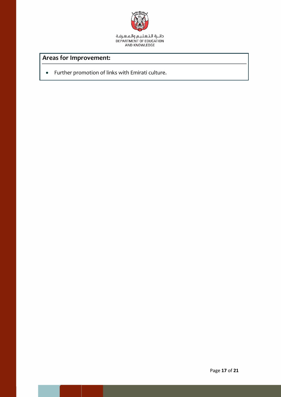

## **Areas for Improvement:**

Further promotion of links with Emirati culture.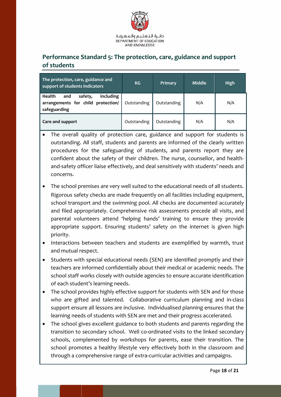

## <span id="page-17-0"></span>**Performance Standard 5: The protection, care, guidance and support of students**

| The protection, care, guidance and<br>support of students Indicators                        | KG          | Primary     | Middle | High |
|---------------------------------------------------------------------------------------------|-------------|-------------|--------|------|
| including<br>Health<br>safety,<br>and<br>arrangements for child protection/<br>safeguarding | Outstanding | Outstanding | N/A    | N/A  |
| Care and support                                                                            | Outstanding | Outstanding | N/A    | N/A  |

- The overall quality of protection care, guidance and support for students is outstanding. All staff, students and parents are informed of the clearly written procedures for the safeguarding of students, and parents report they are confident about the safety of their children. The nurse, counsellor, and healthand-safety officer liaise effectively, and deal sensitively with students' needs and concerns.
- The school premises are very well suited to the educational needs of all students. Rigorous safety checks are made frequently on all facilities including equipment, school transport and the swimming pool. All checks are documented accurately and filed appropriately. Comprehensive risk assessments precede all visits, and parental volunteers attend 'helping hands' training to ensure they provide appropriate support. Ensuring students' safety on the internet is given high priority.
- Interactions between teachers and students are exemplified by warmth, trust and mutual respect.
- Students with special educational needs (SEN) are identified promptly and their teachers are informed confidentially about their medical or academic needs. The school staff works closely with outside agencies to ensure accurate identification of each student's learning needs.
- The school provides highly effective support for students with SEN and for those who are gifted and talented. Collaborative curriculum planning and in-class support ensure all lessons are inclusive. Individualised planning ensures that the learning needs of students with SEN are met and their progress accelerated.
- The school gives excellent guidance to both students and parents regarding the transition to secondary school. Well co-ordinated visits to the linked secondary schools, complemented by workshops for parents, ease their transition. The school promotes a healthy lifestyle very effectively both in the classroom and through a comprehensive range of extra-curricular activities and campaigns.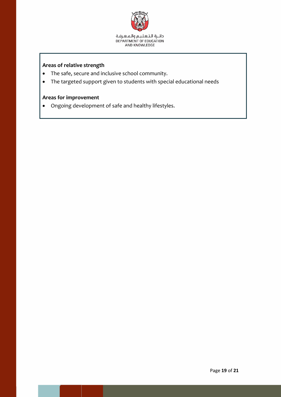

#### **Areas of relative strength**

- The safe, secure and inclusive school community.
- The targeted support given to students with special educational needs

#### **Areas for improvement**

Ongoing development of safe and healthy lifestyles.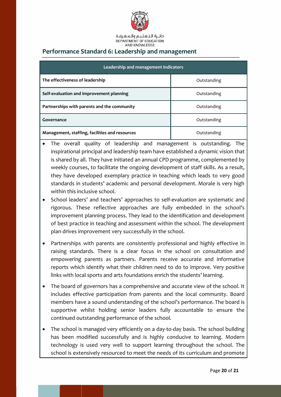

#### <span id="page-19-0"></span>**Performance Standard 6: Leadership and management**

| Leadership and management Indicators           |             |  |  |  |
|------------------------------------------------|-------------|--|--|--|
| The effectiveness of leadership                | Outstanding |  |  |  |
| Self-evaluation and improvement planning       | Outstanding |  |  |  |
| Partnerships with parents and the community    | Outstanding |  |  |  |
| Governance                                     | Outstanding |  |  |  |
| Management, staffing, facilities and resources | Outstanding |  |  |  |

- The overall quality of leadership and management is outstanding. The inspirational principal and leadership team have established a dynamic vision that is shared by all. They have initiated an annual CPD programme, complemented by weekly courses, to facilitate the ongoing development of staff skills. As a result, they have developed exemplary practice in teaching which leads to very good standards in students' academic and personal development. Morale is very high within this inclusive school.
- School leaders' and teachers' approaches to self-evaluation are systematic and rigorous. These reflective approaches are fully embedded in the school's improvement planning process. They lead to the identification and development of best practice in teaching and assessment within the school. The development plan drives improvement very successfully in the school.
- Partnerships with parents are consistently professional and highly effective in raising standards. There is a clear focus in the school on consultation and empowering parents as partners. Parents receive accurate and informative reports which identify what their children need to do to improve. Very positive links with local sports and arts foundations enrich the students' learning.
- The board of governors has a comprehensive and accurate view of the school. It includes effective participation from parents and the local community. Board members have a sound understanding of the school's performance. The board is supportive whilst holding senior leaders fully accountable to ensure the continued outstanding performance of the school.
- The school is managed very efficiently on a day-to-day basis. The school building has been modified successfully and is highly conducive to learning. Modern technology is used very well to support learning throughout the school. The school is extensively resourced to meet the needs of its curriculum and promote